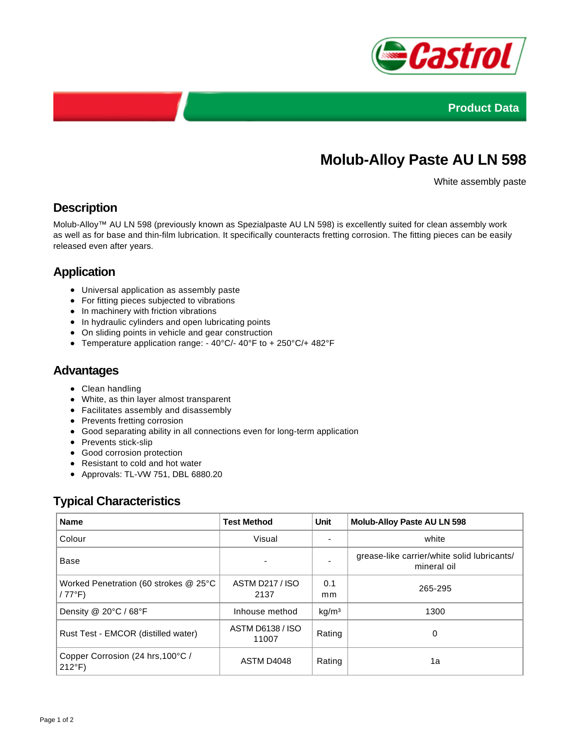



# **Molub-Alloy Paste AU LN 598**

White assembly paste

## **Description**

Molub-Alloy™ AU LN 598 (previously known as Spezialpaste AU LN 598) is excellently suited for clean assembly work as well as for base and thin-film lubrication. It specifically counteracts fretting corrosion. The fitting pieces can be easily released even after years.

## **Application**

- Universal application as assembly paste
- For fitting pieces subjected to vibrations
- In machinery with friction vibrations
- In hydraulic cylinders and open lubricating points
- On sliding points in vehicle and gear construction
- Temperature application range: 40°C/- 40°F to + 250°C/+ 482°F

#### **Advantages**

- Clean handling
- White, as thin layer almost transparent
- Facilitates assembly and disassembly
- Prevents fretting corrosion
- Good separating ability in all connections even for long-term application
- Prevents stick-slip
- Good corrosion protection
- Resistant to cold and hot water
- Approvals: TL-VW 751, DBL 6880.20

#### **Typical Characteristics**

| <b>Name</b>                                             | <b>Test Method</b>             | Unit              | <b>Molub-Alloy Paste AU LN 598</b>                         |
|---------------------------------------------------------|--------------------------------|-------------------|------------------------------------------------------------|
| Colour                                                  | Visual                         |                   | white                                                      |
| Base                                                    |                                |                   | grease-like carrier/white solid lubricants/<br>mineral oil |
| Worked Penetration (60 strokes @ 25°C<br>$/77^{\circ}F$ | <b>ASTM D217 / ISO</b><br>2137 | 0.1<br>mm.        | 265-295                                                    |
| Density @ 20°C / 68°F                                   | Inhouse method                 | kg/m <sup>3</sup> | 1300                                                       |
| Rust Test - EMCOR (distilled water)                     | ASTM D6138 / ISO<br>11007      | Rating            | 0                                                          |
| Copper Corrosion (24 hrs, 100°C /<br>$212^{\circ}F$     | ASTM D4048                     | Rating            | 1a                                                         |